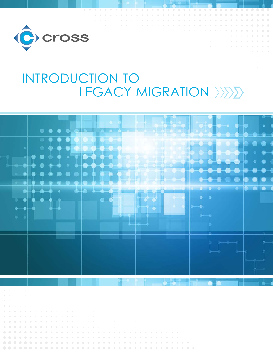

# INTRODUCTION TO LEGACY MIGRATION  $\Sigma\Sigma\Sigma$



- 
- 
- 
- 
- 
- 
- 
- 
-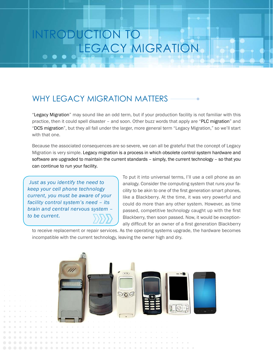## RODUCTION TO LEGACY MIGRATION

## WHY LEGACY MIGRATION MATTERS

"Legacy Migration" may sound like an odd term, but if your production facility is not familiar with this practice, then it could spell disaster – and soon. Other buzz words that apply are "PLC migration" and "DCS migration", but they all fall under the larger, more general term "Legacy Migration," so we'll start with that one.

Because the associated consequences are so severe, we can all be grateful that the concept of Legacy Migration is very simple. Legacy migration is a process in which obsolete control system hardware and software are upgraded to maintain the current standards – simply, the current technology – so that you can continue to run your facility.

*Just as you identify the need to keep your cell phone technology current, you must be aware of your facility control system's need – its brain and central nervous system – to be current.*

To put it into universal terms, I'll use a cell phone as an analogy. Consider the computing system that runs your facility to be akin to one of the first generation smart phones, like a Blackberry. At the time, it was very powerful and could do more than any other system. However, as time passed, competitive technology caught up with the first Blackberry, then soon passed. Now, it would be exceptionally difficult for an owner of a first generation Blackberry

to receive replacement or repair services. As the operating systems upgrade, the hardware becomes incompatible with the current technology, leaving the owner high and dry.

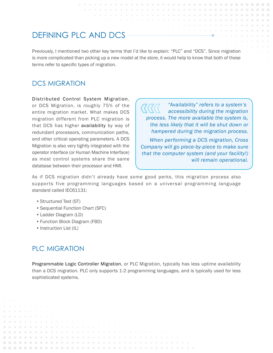## DEFINING PLC AND DCS

Previously, I mentioned two other key terms that I'd like to explain: "PLC" and "DCS". Since migration is more complicated than picking up a new model at the store, it would help to know that both of these terms refer to specific types of migration.

#### DCS MIGRATION

Distributed Control System Migration, or DCS Migration, is roughly 75% of the entire migration market. What makes DCS migration different from PLC migration is that DCS has higher availability by way of redundant processors, communication paths, and other critical operating parameters. A DCS Migration is also very tightly integrated with the operator interface (or Human Machine Interface) as most control systems share the same database between their processor and HMI.

*"*Availability*" refers to a system's accessibility during the migration process. The more available the system is, the less likely that it will be shut down or hampered during the migration process.*

*When performing a DCS migration, Cross Company will go piece-by-piece to make sure that the computer system (and your facility!) will remain operational.*

As if DCS migration didn't already have some good perks, this migration process also supports five programming languages based on a universal programming language standard called IEC61131:

- Structured Text (ST)
- Sequential Function Chart (SFC)
- Ladder Diagram (LD)
- Function Block Diagram (FBD)
- Instruction List (IL)

#### PLC MIGRATION

Programmable Logic Controller Migration, or PLC Migration, typically has less uptime availability than a DCS migration. PLC only supports 1-2 programming languages, and is typically used for less sophisticated systems.

. . . . . . . . . . . . **Service Control** . . . . . .  $\alpha$  $-100 - 100$  $\sim$  $\sim$  $\sim$  $\sim$  $\sim$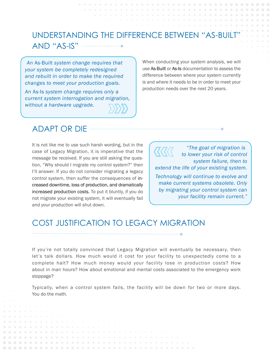## UNDERSTANDING THE DIFFERENCE BETWEEN "AS-BUILT" AND "AS-IS"

**COLLECT** 

*An* As-Built *system change requires that your system be completely redesigned and rebuilt in order to make the required changes to meet your production goals.* 

*An* As-Is *system change requires only a current system interrogation and migration, without a hardware upgrade.*

When conducting your system analysis, we will use As-Built or As-Is documentation to assess the difference between where your system currently is and where it needs to be in order to meet your production needs over the next 20 years.

#### ADAPT OR DIE

It is not like me to use such harsh wording, but in the case of Legacy Migration, it is imperative that the message be received. If you are still asking the question, "Why should I migrate my control system?" then I'll answer. If you do not consider migrating a legacy control system, then suffer the consequences of increased downtime, loss of production, and dramatically increased production costs. To put it bluntly, if you do not migrate your existing system, it will eventually fail and your production will shut down.

*"The goal of migration is*   $\cal R \cal R \cal R$ *to lower your risk of control system failure, then to extend the life of your existing system. Technology will continue to evolve and make current systems obsolete. Only by migrating your control system can your facility remain current."*

### COST JUSTIFICATION TO LEGACY MIGRATION

If you're not totally convinced that Legacy Migration will eventually be necessary, then let's talk dollars. How much would it cost for your facility to unexpectedly come to a complete halt? How much money would your facility lose in production costs? How about in man hours? How about emotional and mental costs associated to the emergency work stoppage?

Typically, when a control system fails, the facility will be down for two or more days. You do the math.

 $\alpha$  $\bullet$  $\bullet$ a company of the company . . . . . . . . . . . . . . . . .  $\mathcal{L}^{\mathcal{A}}\left( \mathcal{A},\mathcal{A}\right) =\mathcal{A}^{\mathcal{A}}\left( \mathcal{A},\mathcal{A}\right)$  $\alpha$  $\alpha$  $\alpha$  $\alpha$  $\sim$ **ALCOHOL:**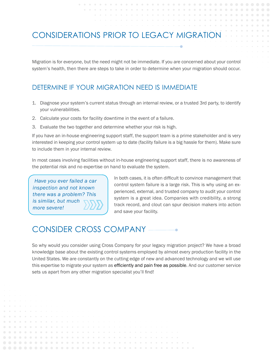### CONSIDERATIONS PRIOR TO LEGACY MIGRATION

Migration is for everyone, but the need might not be immediate. If you are concerned about your control system's health, then there are steps to take in order to determine when your migration should occur.

#### DETERMINE IF YOUR MIGRATION NEED IS IMMEDIATE

- 1. Diagnose your system's current status through an internal review, or a trusted 3rd party, to identify your vulnerabilities.
- 2. Calculate your costs for facility downtime in the event of a failure.
- 3. Evaluate the two together and determine whether your risk is high.

If you have an in-house engineering support staff, the support team is a prime stakeholder and is very interested in keeping your control system up to date (facility failure is a big hassle for them). Make sure to include them in your internal review.

In most cases involving facilities without in-house engineering support staff, there is no awareness of the potential risk and no expertise on hand to evaluate the system.

*Have you ever failed a car inspection and not known there was a problem? This is similar, but much more severe!*

. . . . . . . . . . . . . . . . .

In both cases, it is often difficult to convince management that control system failure is a large risk. This is why using an experienced, external, and trusted company to audit your control system is a great idea. Companies with credibility, a strong track record, and clout can spur decision makers into action and save your facility.

### CONSIDER CROSS COMPANY

*Charles Committee Committee Committee Committee Committee Committee Committee Committee Committee Committee Committee Committee Committee Committee Committee Committee Committee Committee Committee Committee Committee Co* 

 $\sim$  $\sim$  $\sim$  $\sim$   $-1.11$   $-1.11$   $-1.11$ 

So why would you consider using Cross Company for your legacy migration project? We have a broad knowledge base about the existing control systems employed by almost every production facility in the United States. We are constantly on the cutting edge of new and advanced technology and we will use this expertise to migrate your system as efficiently and pain free as possible. And our customer service sets us apart from any other migration specialist you'll find!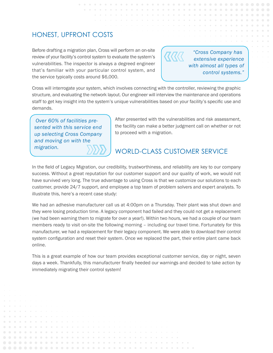#### HONEST, UPFRONT COSTS

Before drafting a migration plan, Cross will perform an on-site review of your facility's control system to evaluate the system's vulnerabilities. The inspector is always a degreed engineer that's familiar with your particular control system, and the service typically costs around \$6,000.

*"Cross Company has extensive experience with almost all types of control systems.["](http://innovativecontrols.com/innovative-controls/popular-legacy-systems-migration)*

Cross will interrogate your system, which involves connecting with the controller, reviewing the graphic structure, and evaluating the network layout. Our engineer will interview the maintenance and operations staff to get key insight into the system's unique vulnerabilities based on your facility's specific use and demands.

*Over 60% of facilities presented with this service end up selecting Cross Company and moving on with the migration.* 

 $\Box$ 

 $\bullet$ 

 $\bullet$ 

 $\alpha$  $\alpha$  $\alpha$ 

 $\alpha$  $\alpha$ 

 $\alpha = 0$  .  $\alpha$  $\sim$  $\sim$  $\alpha = -\alpha$  .

After presented with the vulnerabilities and risk assessment, the facility can make a better judgment call on whether or not to proceed with a migration.

#### WORLD-CLASS CUSTOMER SERVICE

In the field of Legacy Migration, our credibility, trustworthiness, and reliability are key to our company success. Without a great reputation for our customer support and our quality of work, we would not have survived very long. The true advantage to using Cross is that we customize our solutions to each customer, provide 24/7 support, and employee a top team of problem solvers and expert analysts. To illustrate this, here's a recent case study:

We had an adhesive manufacturer call us at 4:00pm on a Thursday. Their plant was shut down and they were losing production time. A legacy component had failed and they could not get a replacement (we had been warning them to migrate for over a year!). Within two hours, we had a couple of our team members ready to visit on-site the following morning – including our travel time. Fortunately for this manufacturer, we had a replacement for their legacy component. We were able to download their control system configuration and reset their system. Once we replaced the part, their entire plant came back online.

This is a great example of how our team provides exceptional customer service, day or night, seven days a week. Thankfully, this manufacturer finally heeded our warnings and decided to take action by immediately migrating their control system!

 $\alpha = -\alpha$  .

 $\mathcal{L}^{\text{max}}_{\text{max}} = \mathcal{L}^{\text{max}}_{\text{max}}$ 

 $\alpha = -\alpha$  .

**COLLECTION** 

 $\sim$ 

 $\sim$  $\alpha$